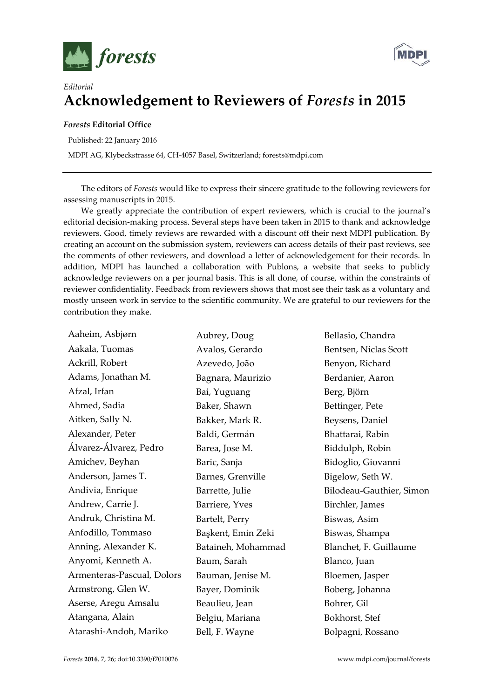



## *Editorial* **Acknowledgement to Reviewers of** *Forests* **in 2015**

## *Forests* **Editorial Office**

Published: 22 January 2016

MDPI AG, Klybeckstrasse 64, CH-4057 Basel, Switzerland; forests@mdpi.com

The editors of *Forests* would like to express their sincere gratitude to the following reviewers for assessing manuscripts in 2015.

We greatly appreciate the contribution of expert reviewers, which is crucial to the journal's editorial decision-making process. Several steps have been taken in 2015 to thank and acknowledge reviewers. Good, timely reviews are rewarded with a discount off their next MDPI publication. By creating an account on the submission system, reviewers can access details of their past reviews, see the comments of other reviewers, and download a letter of acknowledgement for their records. In addition, MDPI has launched a collaboration with Publons, a website that seeks to publicly acknowledge reviewers on a per journal basis. This is all done, of course, within the constraints of reviewer confidentiality. Feedback from reviewers shows that most see their task as a voluntary and mostly unseen work in service to the scientific community. We are grateful to our reviewers for the contribution they make.

Aaheim, Asbjørn Aakala, Tuomas Ackrill, Robert Adams, Jonathan M. Afzal, Irfan Ahmed, Sadia Aitken, Sally N. Alexander, Peter Álvarez-Álvarez, Pedro Amichev, Beyhan Anderson, James T. Andivia, Enrique Andrew, Carrie J. Andruk, Christina M. Anfodillo, Tommaso Anning, Alexander K. Anyomi, Kenneth A. Armenteras-Pascual, Dolors Armstrong, Glen W. Aserse, Aregu Amsalu Atangana, Alain Atarashi-Andoh, Mariko Aubrey, Doug Avalos, Gerardo Azevedo, João Bagnara, Maurizio Bai, Yuguang Baker, Shawn Bakker, Mark R. Baldi, Germán Barea, Jose M. Baric, Sanja Barnes, Grenville Barrette, Julie Barriere, Yves Bartelt, Perry Başkent, Emin Zeki Bataineh, Mohammad Baum, Sarah Bauman, Jenise M. Bayer, Dominik Beaulieu, Jean Belgiu, Mariana Bell, F. Wayne Bellasio, Chandra Bentsen, Niclas Scott Benyon, Richard Berdanier, Aaron Berg, Björn Bettinger, Pete Beysens, Daniel Bhattarai, Rabin Biddulph, Robin Bidoglio, Giovanni Bigelow, Seth W. Bilodeau-Gauthier, Simon Birchler, James Biswas, Asim Biswas, Shampa Blanchet, F. Guillaume Blanco, Juan Bloemen, Jasper Boberg, Johanna Bohrer, Gil Bokhorst, Stef Bolpagni, Rossano

*Forests* **2016**, 7, 26; doi:10.3390/f7010026 www.mdpi.com/journal/forests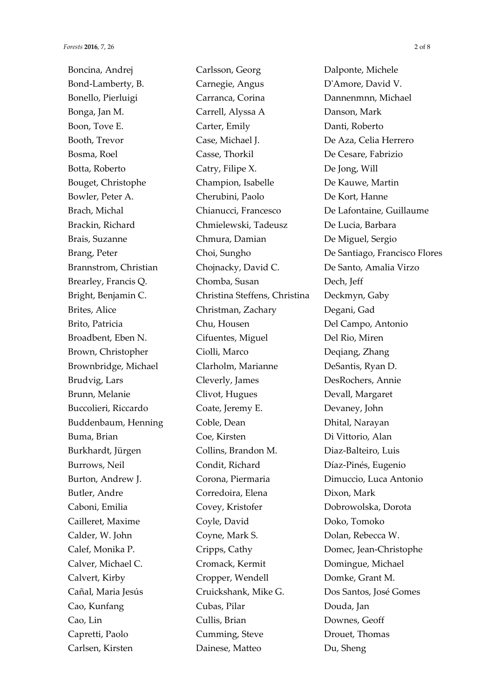Boncina, Andrej Bond-Lamberty, B. Bonello, Pierluigi Bonga, Jan M. Boon, Tove E. Booth, Trevor Bosma, Roel Botta, Roberto Bouget, Christophe Bowler, Peter A. Brach, Michal Brackin, Richard Brais, Suzanne Brang, Peter Brannstrom, Christian Brearley, Francis Q. Bright, Benjamin C. Brites, Alice Brito, Patricia Broadbent, Eben N. Brown, Christopher Brownbridge, Michael Brudvig, Lars Brunn, Melanie Buccolieri, Riccardo Buddenbaum, Henning Buma, Brian Burkhardt, Jürgen Burrows, Neil Burton, Andrew J. Butler, Andre Caboni, Emilia Cailleret, Maxime Calder, W. John Calef, Monika P. Calver, Michael C. Calvert, Kirby Cañal, Maria Jesús Cao, Kunfang Cao, Lin Capretti, Paolo Carlsen, Kirsten

Carlsson, Georg Carnegie, Angus Carranca, Corina Carrell, Alyssa A Carter, Emily Case, Michael J. Casse, Thorkil Catry, Filipe X. Champion, Isabelle Cherubini, Paolo Chianucci, Francesco Chmielewski, Tadeusz Chmura, Damian Choi, Sungho Chojnacky, David C. Chomba, Susan Christina Steffens, Christina Christman, Zachary Chu, Housen Cifuentes, Miguel Ciolli, Marco Clarholm, Marianne Cleverly, James Clivot, Hugues Coate, Jeremy E. Coble, Dean Coe, Kirsten Collins, Brandon M. Condit, Richard Corona, Piermaria Corredoira, Elena Covey, Kristofer Coyle, David Coyne, Mark S. Cripps, Cathy Cromack, Kermit Cropper, Wendell Cruickshank, Mike G. Cubas, Pilar Cullis, Brian Cumming, Steve Dainese, Matteo

Dalponte, Michele D'Amore, David V. Dannenmnn, Michael Danson, Mark Danti, Roberto De Aza, Celia Herrero De Cesare, Fabrizio De Jong, Will De Kauwe, Martin De Kort, Hanne De Lafontaine, Guillaume De Lucia, Barbara De Miguel, Sergio De Santiago, Francisco Flores De Santo, Amalia Virzo Dech, Jeff Deckmyn, Gaby Degani, Gad Del Campo, Antonio Del Rio, Miren Deqiang, Zhang DeSantis, Ryan D. DesRochers, Annie Devall, Margaret Devaney, John Dhital, Narayan Di Vittorio, Alan Diaz-Balteiro, Luis Díaz-Pinés, Eugenio Dimuccio, Luca Antonio Dixon, Mark Dobrowolska, Dorota Doko, Tomoko Dolan, Rebecca W. Domec, Jean-Christophe Domingue, Michael Domke, Grant M. Dos Santos, José Gomes Douda, Jan Downes, Geoff Drouet, Thomas Du, Sheng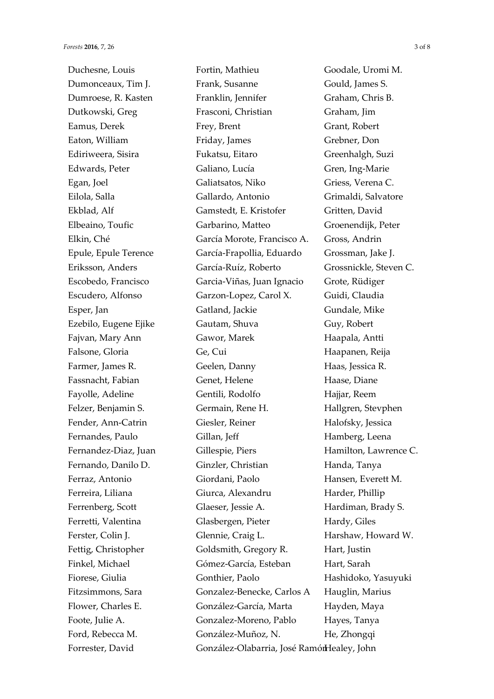Duchesne, Louis Dumonceaux, Tim J. Dumroese, R. Kasten Dutkowski, Greg Eamus, Derek Eaton, William Ediriweera, Sisira Edwards, Peter Egan, Joel Eilola, Salla Ekblad, Alf Elbeaino, Toufic Elkin, Ché Epule, Epule Terence Eriksson, Anders Escobedo, Francisco Escudero, Alfonso Esper, Jan Ezebilo, Eugene Ejike Fajvan, Mary Ann Falsone, Gloria Farmer, James R. Fassnacht, Fabian Fayolle, Adeline Felzer, Benjamin S. Fender, Ann-Catrin Fernandes, Paulo Fernandez-Diaz, Juan Fernando, Danilo D. Ferraz, Antonio Ferreira, Liliana Ferrenberg, Scott Ferretti, Valentina Ferster, Colin J. Fettig, Christopher Finkel, Michael Fiorese, Giulia Fitzsimmons, Sara Flower, Charles E. Foote, Julie A. Ford, Rebecca M. Forrester, David

Fortin, Mathieu Frank, Susanne Franklin, Jennifer Frasconi, Christian Frey, Brent Friday, James Fukatsu, Eitaro Galiano, Lucía Galiatsatos, Niko Gallardo, Antonio Gamstedt, E. Kristofer Garbarino, Matteo García Morote, Francisco A. García-Frapollia, Eduardo García-Ruíz, Roberto Garcia-Viñas, Juan Ignacio Garzon-Lopez, Carol X. Gatland, Jackie Gautam, Shuva Gawor, Marek Ge, Cui Geelen, Danny Genet, Helene Gentili, Rodolfo Germain, Rene H. Giesler, Reiner Gillan, Jeff Gillespie, Piers Ginzler, Christian Giordani, Paolo Giurca, Alexandru Glaeser, Jessie A. Glasbergen, Pieter Glennie, Craig L. Goldsmith, Gregory R. Gómez-García, Esteban Gonthier, Paolo Gonzalez-Benecke, Carlos A González-García, Marta Gonzalez-Moreno, Pablo González-Muñoz, N. González-Olabarria, José Ramón Healey, John

Goodale, Uromi M. Gould, James S. Graham, Chris B. Graham, Jim Grant, Robert Grebner, Don Greenhalgh, Suzi Gren, Ing-Marie Griess, Verena C. Grimaldi, Salvatore Gritten, David Groenendijk, Peter Gross, Andrin Grossman, Jake J. Grossnickle, Steven C. Grote, Rüdiger Guidi, Claudia Gundale, Mike Guy, Robert Haapala, Antti Haapanen, Reija Haas, Jessica R. Haase, Diane Hajjar, Reem Hallgren, Stevphen Halofsky, Jessica Hamberg, Leena Hamilton, Lawrence C. Handa, Tanya Hansen, Everett M. Harder, Phillip Hardiman, Brady S. Hardy, Giles Harshaw, Howard W. Hart, Justin Hart, Sarah Hashidoko, Yasuyuki Hauglin, Marius Hayden, Maya Hayes, Tanya He, Zhongqi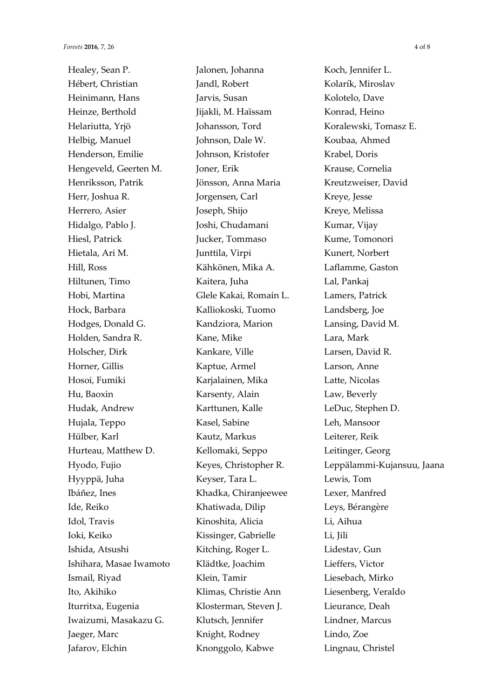Healey, Sean P. Hébert, Christian Heinimann, Hans Heinze, Berthold Helariutta, Yrjö Helbig, Manuel Henderson, Emilie Hengeveld, Geerten M. Henriksson, Patrik Herr, Joshua R. Herrero, Asier Hidalgo, Pablo J. Hiesl, Patrick Hietala, Ari M. Hill, Ross Hiltunen, Timo Hobi, Martina Hock, Barbara Hodges, Donald G. Holden, Sandra R. Holscher, Dirk Horner, Gillis Hosoi, Fumiki Hu, Baoxin Hudak, Andrew Hujala, Teppo Hülber, Karl Hurteau, Matthew D. Hyodo, Fujio Hyyppä, Juha Ibáñez, Ines Ide, Reiko Idol, Travis Ioki, Keiko Ishida, Atsushi Ishihara, Masae Iwamoto Ismail, Riyad Ito, Akihiko Iturritxa, Eugenia Iwaizumi, Masakazu G. Jaeger, Marc Jafarov, Elchin

Jalonen, Johanna Jandl, Robert Jarvis, Susan Jijakli, M. Haïssam Johansson, Tord Johnson, Dale W. Johnson, Kristofer Joner, Erik Jönsson, Anna Maria Jorgensen, Carl Joseph, Shijo Joshi, Chudamani Jucker, Tommaso Junttila, Virpi Kähkönen, Mika A. Kaitera, Juha Glele Kakai, Romain L. Kalliokoski, Tuomo Kandziora, Marion Kane, Mike Kankare, Ville Kaptue, Armel Karjalainen, Mika Karsenty, Alain Karttunen, Kalle Kasel, Sabine Kautz, Markus Kellomaki, Seppo Keyes, Christopher R. Keyser, Tara L. Khadka, Chiranjeewee Khatiwada, Dilip Kinoshita, Alicia Kissinger, Gabrielle Kitching, Roger L. Klädtke, Joachim Klein, Tamir Klimas, Christie Ann Klosterman, Steven J. Klutsch, Jennifer Knight, Rodney Knonggolo, Kabwe

Koch, Jennifer L. Kolarík, Miroslav Kolotelo, Dave Konrad, Heino Koralewski, Tomasz E. Koubaa, Ahmed Krabel, Doris Krause, Cornelia Kreutzweiser, David Kreye, Jesse Kreye, Melissa Kumar, Vijay Kume, Tomonori Kunert, Norbert Laflamme, Gaston Lal, Pankaj Lamers, Patrick Landsberg, Joe Lansing, David M. Lara, Mark Larsen, David R. Larson, Anne Latte, Nicolas Law, Beverly LeDuc, Stephen D. Leh, Mansoor Leiterer, Reik Leitinger, Georg Leppälammi-Kujansuu, Jaana Lewis, Tom Lexer, Manfred Leys, Bérangère Li, Aihua Li, Jili Lidestav, Gun Lieffers, Victor Liesebach, Mirko Liesenberg, Veraldo Lieurance, Deah Lindner, Marcus Lindo, Zoe Lingnau, Christel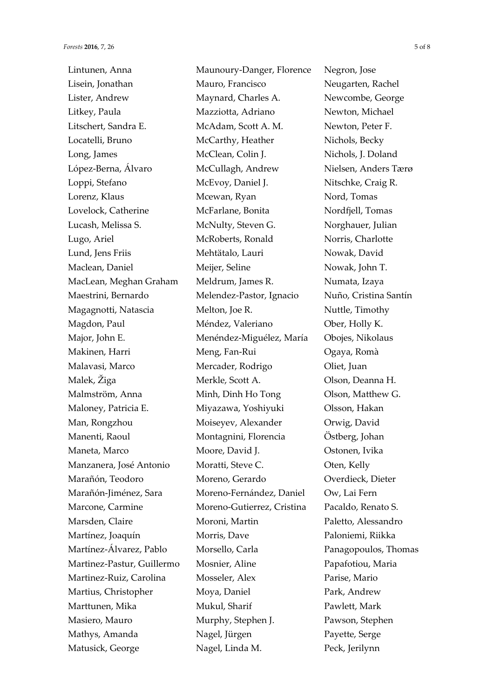Lintunen, Anna Lisein, Jonathan Lister, Andrew Litkey, Paula Litschert, Sandra E. Locatelli, Bruno Long, James López-Berna, Álvaro Loppi, Stefano Lorenz, Klaus Lovelock, Catherine Lucash, Melissa S. Lugo, Ariel Lund, Jens Friis Maclean, Daniel MacLean, Meghan Graham Maestrini, Bernardo Magagnotti, Natascia Magdon, Paul Major, John E. Makinen, Harri Malavasi, Marco Malek, Žiga Malmström, Anna Maloney, Patricia E. Man, Rongzhou Manenti, Raoul Maneta, Marco Manzanera, José Antonio Marañón, Teodoro Marañón-Jiménez, Sara Marcone, Carmine Marsden, Claire Martínez, Joaquín Martínez-Álvarez, Pablo Martinez-Pastur, Guillermo Martinez-Ruiz, Carolina Martius, Christopher Marttunen, Mika Masiero, Mauro Mathys, Amanda Matusick, George

Maunoury-Danger, Florence Mauro, Francisco Maynard, Charles A. Mazziotta, Adriano McAdam, Scott A. M. McCarthy, Heather McClean, Colin J. McCullagh, Andrew McEvoy, Daniel J. Mcewan, Ryan McFarlane, Bonita McNulty, Steven G. McRoberts, Ronald Mehtätalo, Lauri Meijer, Seline Meldrum, James R. Melendez-Pastor, Ignacio Melton, Joe R. Méndez, Valeriano Menéndez-Miguélez, María Meng, Fan-Rui Mercader, Rodrigo Merkle, Scott A. Minh, Dinh Ho Tong Miyazawa, Yoshiyuki Moiseyev, Alexander Montagnini, Florencia Moore, David J. Moratti, Steve C. Moreno, Gerardo Moreno-Fernández, Daniel Moreno-Gutierrez, Cristina Moroni, Martin Morris, Dave Morsello, Carla Mosnier, Aline Mosseler, Alex Moya, Daniel Mukul, Sharif Murphy, Stephen J. Nagel, Jürgen Nagel, Linda M.

Negron, Jose Neugarten, Rachel Newcombe, George Newton, Michael Newton, Peter F. Nichols, Becky Nichols, J. Doland Nielsen, Anders Tærø Nitschke, Craig R. Nord, Tomas Nordfjell, Tomas Norghauer, Julian Norris, Charlotte Nowak, David Nowak, John T. Numata, Izaya Nuño, Cristina Santín Nuttle, Timothy Ober, Holly K. Obojes, Nikolaus Ogaya, Romà Oliet, Juan Olson, Deanna H. Olson, Matthew G. Olsson, Hakan Orwig, David Östberg, Johan Ostonen, Ivika Oten, Kelly Overdieck, Dieter Ow, Lai Fern Pacaldo, Renato S. Paletto, Alessandro Paloniemi, Riikka Panagopoulos, Thomas Papafotiou, Maria Parise, Mario Park, Andrew Pawlett, Mark Pawson, Stephen Payette, Serge Peck, Jerilynn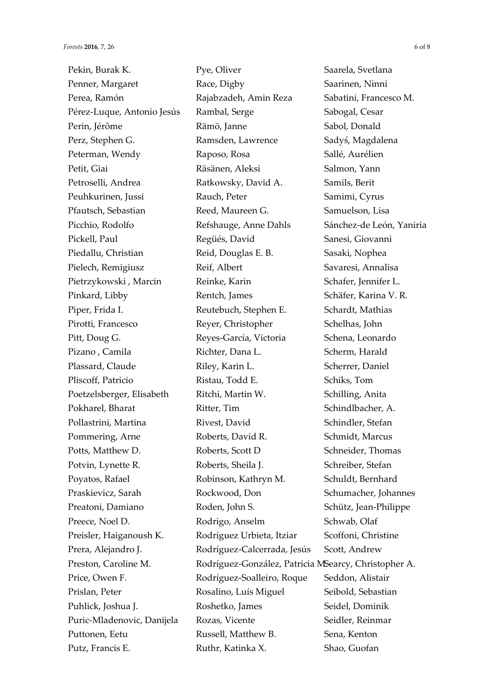Pekin, Burak K. Penner, Margaret Perea, Ramón Pérez-Luque, Antonio Jesús Perin, Jérôme Perz, Stephen G. Peterman, Wendy Petit, Giai Petroselli, Andrea Peuhkurinen, Jussi Pfautsch, Sebastian Picchio, Rodolfo Pickell, Paul Piedallu, Christian Pielech, Remigiusz Pietrzykowski , Marcin Pinkard, Libby Piper, Frida I. Pirotti, Francesco Pitt, Doug G. Pizano , Camila Plassard, Claude Pliscoff, Patricio Poetzelsberger, Elisabeth Pokharel, Bharat Pollastrini, Martina Pommering, Arne Potts, Matthew D. Potvin, Lynette R. Poyatos, Rafael Praskievicz, Sarah Preatoni, Damiano Preece, Noel D. Preisler, Haiganoush K. Prera, Alejandro J. Preston, Caroline M. Price, Owen F. Prislan, Peter Puhlick, Joshua J. Puric-Mladenovic, Danijela Puttonen, Eetu Putz, Francis E.

Pye, Oliver Race, Digby Rajabzadeh, Amin Reza Rambal, Serge Rämö, Janne Ramsden, Lawrence Raposo, Rosa Räsänen, Aleksi Ratkowsky, David A. Rauch, Peter Reed, Maureen G. Refshauge, Anne Dahls Regüés, David Reid, Douglas E. B. Reif, Albert Reinke, Karin Rentch, James Reutebuch, Stephen E. Reyer, Christopher Reyes-García, Victoria Richter, Dana L. Riley, Karin L. Ristau, Todd E. Ritchi, Martin W. Ritter, Tim Rivest, David Roberts, David R. Roberts, Scott D Roberts, Sheila J. Robinson, Kathryn M. Rockwood, Don Roden, John S. Rodrigo, Anselm Rodríguez Urbieta, Itziar Rodríguez-Calcerrada, Jesús Rodríguez-González, Patricia MSearcy, Christopher A. Rodríguez-Soalleiro, Roque Rosalino, Luís Miguel Roshetko, James Rozas, Vicente Russell, Matthew B. Ruthr, Katinka X.

Saarela, Svetlana Saarinen, Ninni Sabatini, Francesco M. Sabogal, Cesar Sabol, Donald Sadyś, Magdalena Sallé, Aurélien Salmon, Yann Samils, Berit Samimi, Cyrus Samuelson, Lisa Sánchez-de León, Yaniria Sanesi, Giovanni Sasaki, Nophea Savaresi, Annalisa Schafer, Jennifer L. Schäfer, Karina V. R. Schardt, Mathias Schelhas, John Schena, Leonardo Scherm, Harald Scherrer, Daniel Schiks, Tom Schilling, Anita Schindlbacher, A. Schindler, Stefan Schmidt, Marcus Schneider, Thomas Schreiber, Stefan Schuldt, Bernhard Schumacher, Johannes Schütz, Jean-Philippe Schwab, Olaf Scoffoni, Christine Scott, Andrew Seddon, Alistair Seibold, Sebastian Seidel, Dominik Seidler, Reinmar Sena, Kenton Shao, Guofan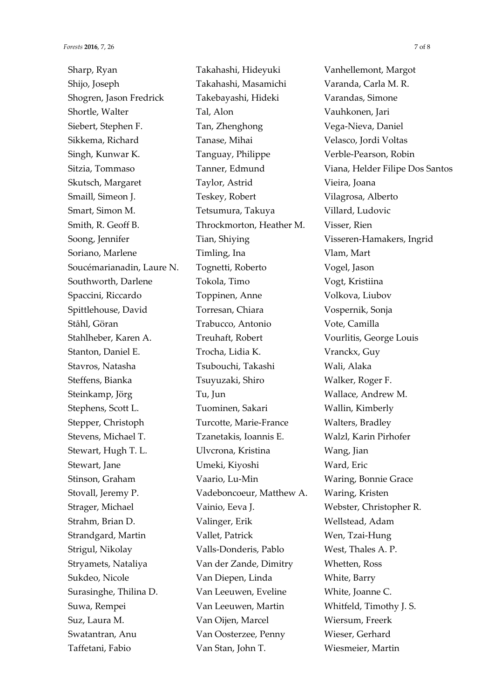Sharp, Ryan Shijo, Joseph Shogren, Jason Fredrick Shortle, Walter Siebert, Stephen F. Sikkema, Richard Singh, Kunwar K. Sitzia, Tommaso Skutsch, Margaret Smaill, Simeon J. Smart, Simon M. Smith, R. Geoff B. Soong, Jennifer Soriano, Marlene Soucémarianadin, Laure N. Southworth, Darlene Spaccini, Riccardo Spittlehouse, David Ståhl, Göran Stahlheber, Karen A. Stanton, Daniel E. Stavros, Natasha Steffens, Bianka Steinkamp, Jörg Stephens, Scott L. Stepper, Christoph Stevens, Michael T. Stewart, Hugh T. L. Stewart, Jane Stinson, Graham Stovall, Jeremy P. Strager, Michael Strahm, Brian D. Strandgard, Martin Strigul, Nikolay Stryamets, Nataliya Sukdeo, Nicole Surasinghe, Thilina D. Suwa, Rempei Suz, Laura M. Swatantran, Anu Taffetani, Fabio

Takahashi, Hideyuki Takahashi, Masamichi Takebayashi, Hideki Tal, Alon Tan, Zhenghong Tanase, Mihai Tanguay, Philippe Tanner, Edmund Taylor, Astrid Teskey, Robert Tetsumura, Takuya Throckmorton, Heather M. Tian, Shiying Timling, Ina Tognetti, Roberto Tokola, Timo Toppinen, Anne Torresan, Chiara Trabucco, Antonio Treuhaft, Robert Trocha, Lidia K. Tsubouchi, Takashi Tsuyuzaki, Shiro Tu, Jun Tuominen, Sakari Turcotte, Marie-France Tzanetakis, Ioannis E. Ulvcrona, Kristina Umeki, Kiyoshi Vaario, Lu-Min Vadeboncoeur, Matthew A. Vainio, Eeva J. Valinger, Erik Vallet, Patrick Valls-Donderis, Pablo Van der Zande, Dimitry Van Diepen, Linda Van Leeuwen, Eveline Van Leeuwen, Martin Van Oijen, Marcel Van Oosterzee, Penny Van Stan, John T.

Vanhellemont, Margot Varanda, Carla M. R. Varandas, Simone Vauhkonen, Jari Vega-Nieva, Daniel Velasco, Jordi Voltas Verble-Pearson, Robin Viana, Helder Filipe Dos Santos Vieira, Joana Vilagrosa, Alberto Villard, Ludovic Visser, Rien Visseren-Hamakers, Ingrid Vlam, Mart Vogel, Jason Vogt, Kristiina Volkova, Liubov Vospernik, Sonja Vote, Camilla Vourlitis, George Louis Vranckx, Guy Wali, Alaka Walker, Roger F. Wallace, Andrew M. Wallin, Kimberly Walters, Bradley Walzl, Karin Pirhofer Wang, Jian Ward, Eric Waring, Bonnie Grace Waring, Kristen Webster, Christopher R. Wellstead, Adam Wen, Tzai-Hung West, Thales A. P. Whetten, Ross White, Barry White, Joanne C. Whitfeld, Timothy J. S. Wiersum, Freerk Wieser, Gerhard Wiesmeier, Martin